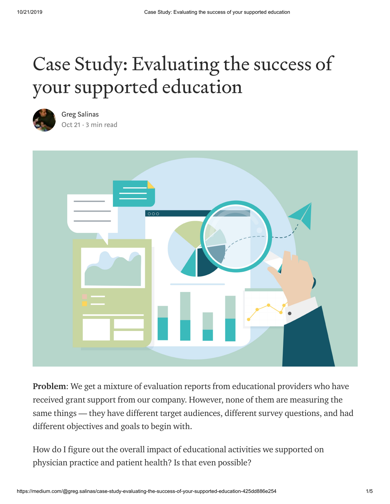# Case Study: Evaluating the success of your supported education



Greg [Salinas](https://medium.com/@greg.salinas?source=post_page-----425dd886e254----------------------) [Oct 21](https://medium.com/@greg.salinas/case-study-evaluating-the-success-of-your-supported-education-425dd886e254?source=post_page-----425dd886e254----------------------) $\cdot$  3 min read



Problem: We get a mixture of evaluation reports from educational providers who have received grant support from our company. However, none of them are measuring the same things — they have different target audiences, different survey questions, and had different objectives and goals to begin with.

How do I figure out the overall impact of educational activities we supported on physician practice and patient health? Is that even possible?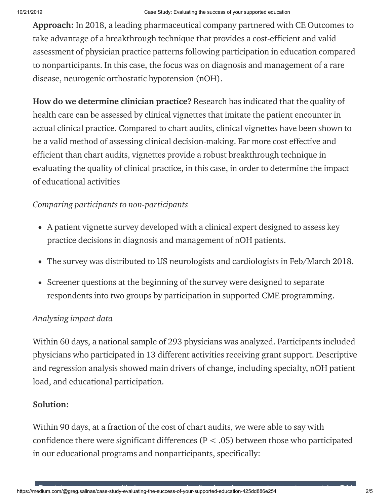Approach: In 2018, a leading pharmaceutical company partnered with CE Outcomes to take advantage of a breakthrough technique that provides a cost-efficient and valid assessment of physician practice patterns following participation in education compared to nonparticipants. In this case, the focus was on diagnosis and management of a rare disease, neurogenic orthostatic hypotension (nOH).

How do we determine clinician practice? [Research](https://jamanetwork.com/journals/jama/fullarticle/192552) has indicated that the [quality](https://www.managedcaremag.com/archives/2015/10/using-vignettes-measure-and-encourage-adherence-clinical-pathways-quality-based) of [health](https://academic.oup.com/heapol/article/22/5/294/557497) care can be assessed by clinical vignettes that imitate the patient encounter in actual clinical practice. Compared to chart audits, clinical vignettes have been shown to be a valid method of assessing clinical decision-making. Far more cost effective and efficient than chart audits, vignettes provide a robust breakthrough technique in evaluating the quality of clinical practice, in this case, in order to determine the impact of educational activities

## *Comparing participants to non-participants*

- A patient vignette survey developed with a clinical expert designed to assess key practice decisions in diagnosis and management of nOH patients.
- The survey was distributed to US neurologists and cardiologists in Feb/March 2018.
- Screener questions at the beginning of the survey were designed to separate respondents into two groups by participation in supported CME programming.

### *Analyzing impact data*

Within 60 days, a national sample of 293 physicians was analyzed. Participants included physicians who participated in 13 different activities receiving grant support. Descriptive and regression analysis showed main drivers of change, including specialty, nOH patient load, and educational participation.

# Solution:

Within 90 days, at a fraction of the cost of chart audits, we were able to say with confidence there were significant differences ( $P < .05$ ) between those who participated in our educational programs and nonparticipants, specifically: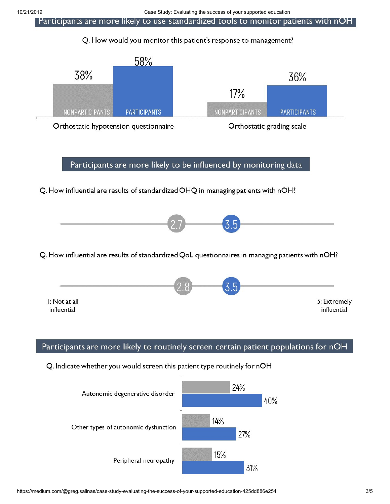Participants are more likely to use standardized tools to monitor patients with nOH

#### Q. How would you monitor this patient's response to management?



Participants are more likely to be influenced by monitoring data

Q. How influential are results of standardized OHQ in managing patients with nOH?



Q. How influential are results of standardized QoL questionnaires in managing patients with nOH?



#### Participants are more likely to routinely screen certain patient populations for nOH

Q. Indicate whether you would screen this patient type routinely for nOH